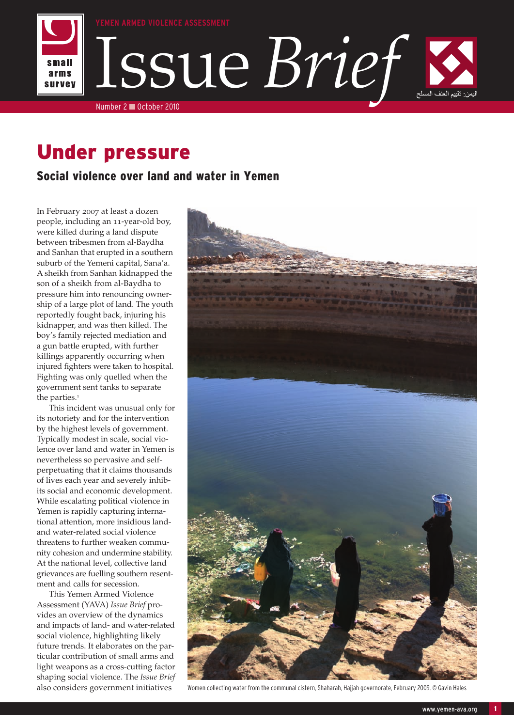

# Under pressure

# Social violence over land and water in Yemen

In February 2007 at least a dozen people, including an 11-year-old boy, were killed during a land dispute between tribesmen from al-Baydha and Sanhan that erupted in a southern suburb of the Yemeni capital, Sana'a. A sheikh from Sanhan kidnapped the son of a sheikh from al-Baydha to pressure him into renouncing ownership of a large plot of land. The youth reportedly fought back, injuring his kidnapper, and was then killed. The boy's family rejected mediation and a gun battle erupted, with further killings apparently occurring when injured fighters were taken to hospital. Fighting was only quelled when the government sent tanks to separate the parties. $1$ 

This incident was unusual only for its notoriety and for the intervention by the highest levels of government. Typically modest in scale, social violence over land and water in Yemen is nevertheless so pervasive and selfperpetuating that it claims thousands of lives each year and severely inhibits social and economic development. While escalating political violence in Yemen is rapidly capturing international attention, more insidious landand water-related social violence threatens to further weaken community cohesion and undermine stability. At the national level, collective land grievances are fuelling southern resentment and calls for secession.

This Yemen Armed Violence Assessment (YAVA) *Issue Brief* provides an overview of the dynamics and impacts of land- and water-related social violence, highlighting likely future trends. It elaborates on the particular contribution of small arms and light weapons as a cross-cutting factor shaping social violence. The *Issue Brief* also considers government initiatives



Women collecting water from the communal cistern, Shaharah, Hajjah governorate, February 2009. © Gavin Hales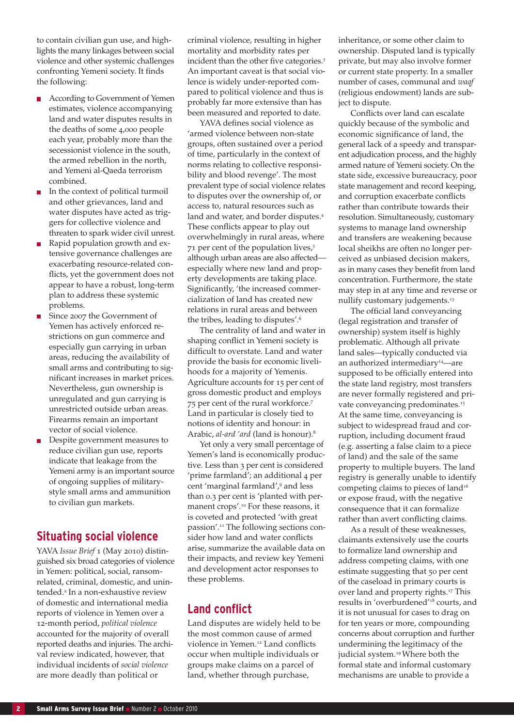to contain civilian gun use, and highlights the many linkages between social violence and other systemic challenges confronting Yemeni society. It finds the following:

- According to Government of Yemen estimates, violence accompanying land and water disputes results in the deaths of some 4,000 people each year, probably more than the secessionist violence in the south, the armed rebellion in the north, and Yemeni al-Qaeda terrorism combined.
- In the context of political turmoil and other grievances, land and water disputes have acted as triggers for collective violence and threaten to spark wider civil unrest.
- Rapid population growth and extensive governance challenges are exacerbating resource-related conflicts, yet the government does not appear to have a robust, long-term plan to address these systemic problems.
- Since 2007 the Government of Yemen has actively enforced restrictions on gun commerce and especially gun carrying in urban areas, reducing the availability of small arms and contributing to significant increases in market prices. Nevertheless, gun ownership is unregulated and gun carrying is unrestricted outside urban areas. Firearms remain an important vector of social violence.
- Despite government measures to reduce civilian gun use, reports indicate that leakage from the Yemeni army is an important source of ongoing supplies of militarystyle small arms and ammunition to civilian gun markets.

# **Situating social violence**

YAVA *Issue Brief* 1 (May 2010) distinguished six broad categories of violence in Yemen: political, social, ransomrelated, criminal, domestic, and unintended.<sup>2</sup> In a non-exhaustive review of domestic and international media reports of violence in Yemen over a 12-month period, *political violence* accounted for the majority of overall reported deaths and injuries. The archival review indicated, however, that individual incidents of *social violence* are more deadly than political or

criminal violence, resulting in higher mortality and morbidity rates per incident than the other five categories.<sup>3</sup> An important caveat is that social violence is widely under-reported compared to political violence and thus is probably far more extensive than has been measured and reported to date.

YAVA defines social violence as 'armed violence between non-state groups, often sustained over a period of time, particularly in the context of norms relating to collective responsibility and blood revenge'. The most prevalent type of social violence relates to disputes over the ownership of, or access to, natural resources such as land and water, and border disputes.<sup>4</sup> These conflicts appear to play out overwhelmingly in rural areas, where 71 per cent of the population lives,<sup>5</sup> although urban areas are also affected especially where new land and property developments are taking place. Significantly, 'the increased commercialization of land has created new relations in rural areas and between the tribes, leading to disputes'.<sup>6</sup>

The centrality of land and water in shaping conflict in Yemeni society is difficult to overstate. Land and water provide the basis for economic livelihoods for a majority of Yemenis. Agriculture accounts for 15 per cent of gross domestic product and employs 75 per cent of the rural workforce.<sup>7</sup> Land in particular is closely tied to notions of identity and honour: in Arabic, *al-ard 'ard* (land is honour).<sup>8</sup>

Yet only a very small percentage of Yemen's land is economically productive. Less than 3 per cent is considered 'prime farmland'; an additional 4 per cent 'marginal farmland',<sup>9</sup> and less than 0.3 per cent is 'planted with permanent crops'.<sup>10</sup> For these reasons, it is coveted and protected 'with great passion'.11 The following sections consider how land and water conflicts arise, summarize the available data on their impacts, and review key Yemeni and development actor responses to these problems.

# **Land conflict**

Land disputes are widely held to be the most common cause of armed violence in Yemen.<sup>12</sup> Land conflicts occur when multiple individuals or groups make claims on a parcel of land, whether through purchase,

inheritance, or some other claim to ownership. Disputed land is typically private, but may also involve former or current state property. In a smaller number of cases, communal and *waqf* (religious endowment) lands are subject to dispute.

Conflicts over land can escalate quickly because of the symbolic and economic significance of land, the general lack of a speedy and transparent adjudication process, and the highly armed nature of Yemeni society. On the state side, excessive bureaucracy, poor state management and record keeping, and corruption exacerbate conflicts rather than contribute towards their resolution. Simultaneously, customary systems to manage land ownership and transfers are weakening because local sheikhs are often no longer perceived as unbiased decision makers, as in many cases they benefit from land concentration. Furthermore, the state may step in at any time and reverse or nullify customary judgements.<sup>13</sup>

The official land conveyancing (legal registration and transfer of ownership) system itself is highly problematic. Although all private land sales—typically conducted via an authorized intermediary<sup>14</sup>-are supposed to be officially entered into the state land registry, most transfers are never formally registered and private conveyancing predominates.<sup>15</sup> At the same time, conveyancing is subject to widespread fraud and corruption, including document fraud (e.g. asserting a false claim to a piece of land) and the sale of the same property to multiple buyers. The land registry is generally unable to identify competing claims to pieces of land<sup>16</sup> or expose fraud, with the negative consequence that it can formalize rather than avert conflicting claims.

As a result of these weaknesses, claimants extensively use the courts to formalize land ownership and address competing claims, with one estimate suggesting that 50 per cent of the caseload in primary courts is over land and property rights.<sup>17</sup> This results in 'overburdened'<sup>18</sup> courts, and it is not unusual for cases to drag on for ten years or more, compounding concerns about corruption and further undermining the legitimacy of the judicial system.<sup>19</sup> Where both the formal state and informal customary mechanisms are unable to provide a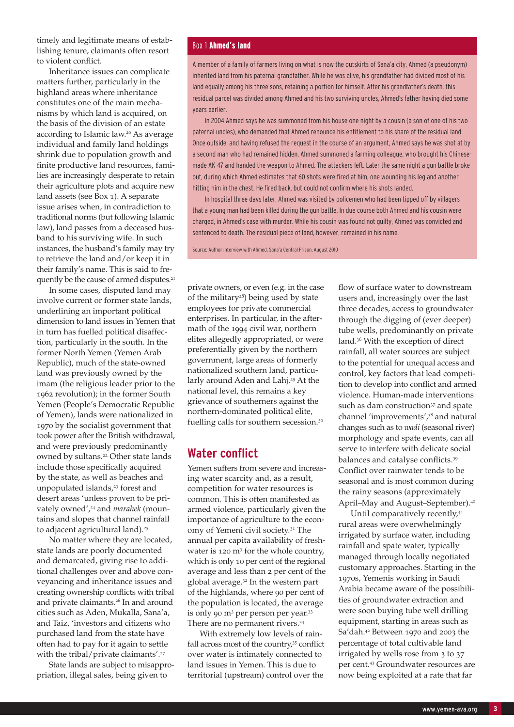timely and legitimate means of establishing tenure, claimants often resort to violent conflict.

Inheritance issues can complicate matters further, particularly in the highland areas where inheritance constitutes one of the main mechanisms by which land is acquired, on the basis of the division of an estate according to Islamic law.<sup>20</sup> As average individual and family land holdings shrink due to population growth and finite productive land resources, families are increasingly desperate to retain their agriculture plots and acquire new land assets (see Box 1). A separate issue arises when, in contradiction to traditional norms (but following Islamic law), land passes from a deceased husband to his surviving wife. In such instances, the husband's family may try to retrieve the land and/or keep it in their family's name. This is said to frequently be the cause of armed disputes.<sup>21</sup>

In some cases, disputed land may involve current or former state lands, underlining an important political dimension to land issues in Yemen that in turn has fuelled political disaffection, particularly in the south. In the former North Yemen (Yemen Arab Republic), much of the state-owned land was previously owned by the imam (the religious leader prior to the 1962 revolution); in the former South Yemen (People's Democratic Republic of Yemen), lands were nationalized in 1970 by the socialist government that took power after the British withdrawal, and were previously predominantly owned by sultans.<sup>22</sup> Other state lands include those specifically acquired by the state, as well as beaches and unpopulated islands,<sup>23</sup> forest and desert areas 'unless proven to be privately owned',<sup>24</sup> and *marahek* (mountains and slopes that channel rainfall to adjacent agricultural land).<sup>25</sup>

No matter where they are located, state lands are poorly documented and demarcated, giving rise to additional challenges over and above conveyancing and inheritance issues and creating ownership conflicts with tribal and private claimants.<sup>26</sup> In and around cities such as Aden, Mukalla, Sana'a, and Taiz, 'investors and citizens who purchased land from the state have often had to pay for it again to settle with the tribal/private claimants'.<sup>27</sup>

State lands are subject to misappropriation, illegal sales, being given to

### Box 1 Ahmed's land

A member of a family of farmers living on what is now the outskirts of Sana'a city, Ahmed (a pseudonym) inherited land from his paternal grandfather. While he was alive, his grandfather had divided most of his land equally among his three sons, retaining a portion for himself. After his grandfather's death, this residual parcel was divided among Ahmed and his two surviving uncles, Ahmed's father having died some years earlier.

In 2004 Ahmed says he was summoned from his house one night by a cousin (a son of one of his two paternal uncles), who demanded that Ahmed renounce his entitlement to his share of the residual land. Once outside, and having refused the request in the course of an argument, Ahmed says he was shot at by a second man who had remained hidden. Ahmed summoned a farming colleague, who brought his Chinesemade AK-47 and handed the weapon to Ahmed. The attackers left. Later the same night a gun battle broke out, during which Ahmed estimates that 60 shots were fired at him, one wounding his leg and another hitting him in the chest. He fired back, but could not confirm where his shots landed.

In hospital three days later, Ahmed was visited by policemen who had been tipped off by villagers that a young man had been killed during the gun battle. In due course both Ahmed and his cousin were charged, in Ahmed's case with murder. While his cousin was found not guilty, Ahmed was convicted and sentenced to death. The residual piece of land, however, remained in his name.

Source: Author interview with Ahmed, Sana'a Central Prison, August 2010

private owners, or even (e.g. in the case of the military<sup>28</sup>) being used by state employees for private commercial enterprises. In particular, in the aftermath of the 1994 civil war, northern elites allegedly appropriated, or were preferentially given by the northern government, large areas of formerly nationalized southern land, particularly around Aden and Lahj.<sup>29</sup> At the national level, this remains a key grievance of southerners against the northern-dominated political elite, fuelling calls for southern secession.<sup>30</sup>

# **Water conflict**

Yemen suffers from severe and increasing water scarcity and, as a result, competition for water resources is common. This is often manifested as armed violence, particularly given the importance of agriculture to the economy of Yemeni civil society.<sup>31</sup> The annual per capita availability of freshwater is  $120 \text{ m}^3$  for the whole country, which is only 10 per cent of the regional average and less than 2 per cent of the global average.<sup>32</sup> In the western part of the highlands, where 90 per cent of the population is located, the average is only 90 m<sup>3</sup> per person per year.<sup>33</sup> There are no permanent rivers.<sup>34</sup>

With extremely low levels of rainfall across most of the country,<sup>35</sup> conflict over water is intimately connected to land issues in Yemen. This is due to territorial (upstream) control over the

flow of surface water to downstream users and, increasingly over the last three decades, access to groundwater through the digging of (ever deeper) tube wells, predominantly on private land.<sup>36</sup> With the exception of direct rainfall, all water sources are subject to the potential for unequal access and control, key factors that lead competition to develop into conflict and armed violence. Human-made interventions such as dam construction<sup>37</sup> and spate channel 'improvements',<sup>38</sup> and natural changes such as to *wadi* (seasonal river) morphology and spate events, can all serve to interfere with delicate social balances and catalyse conflicts.<sup>39</sup> Conflict over rainwater tends to be seasonal and is most common during the rainy seasons (approximately April–May and August–September).<sup>40</sup>

Until comparatively recently,<sup>41</sup> rural areas were overwhelmingly irrigated by surface water, including rainfall and spate water, typically managed through locally negotiated customary approaches. Starting in the 1970s, Yemenis working in Saudi Arabia became aware of the possibilities of groundwater extraction and were soon buying tube well drilling equipment, starting in areas such as Sa'dah.<sup>42</sup> Between 1970 and 2003 the percentage of total cultivable land irrigated by wells rose from 3 to 37 per cent.<sup>43</sup> Groundwater resources are now being exploited at a rate that far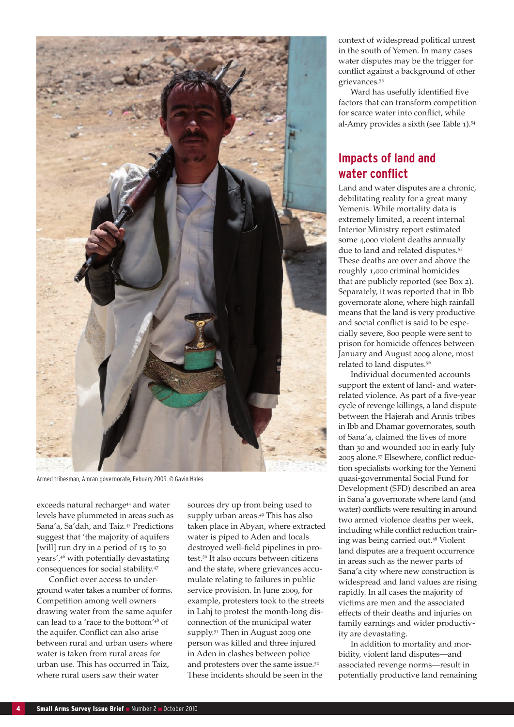

Armed tribesman, Amran governorate, Febuary 2009. © Gavin Hales

exceeds natural recharge<sup>44</sup> and water levels have plummeted in areas such as Sana'a, Sa'dah, and Taiz.<sup>45</sup> Predictions suggest that 'the majority of aquifers [will] run dry in a period of 15 to 50 years',<sup>46</sup> with potentially devastating consequences for social stability.<sup>47</sup>

Conflict over access to underground water takes a number of forms. Competition among well owners drawing water from the same aquifer can lead to a 'race to the bottom'<sup>48</sup> of the aquifer. Conflict can also arise between rural and urban users where water is taken from rural areas for urban use. This has occurred in Taiz, where rural users saw their water

sources dry up from being used to supply urban areas.<sup>49</sup> This has also taken place in Abyan, where extracted water is piped to Aden and locals destroyed well-field pipelines in protest.<sup>50</sup> It also occurs between citizens and the state, where grievances accumulate relating to failures in public service provision. In June 2009, for example, protesters took to the streets in Lahj to protest the month-long disconnection of the municipal water supply.<sup>51</sup> Then in August 2009 one person was killed and three injured in Aden in clashes between police and protesters over the same issue.<sup>52</sup> These incidents should be seen in the

context of widespread political unrest in the south of Yemen. In many cases water disputes may be the trigger for conflict against a background of other grievances.<sup>53</sup>

Ward has usefully identified five factors that can transform competition for scarce water into conflict, while al-Amry provides a sixth (see Table 1).<sup>54</sup>

# **Impacts of land and water conflict**

Land and water disputes are a chronic, debilitating reality for a great many Yemenis. While mortality data is extremely limited, a recent internal Interior Ministry report estimated some 4,000 violent deaths annually due to land and related disputes.<sup>55</sup> These deaths are over and above the roughly 1,000 criminal homicides that are publicly reported (see Box 2). Separately, it was reported that in Ibb governorate alone, where high rainfall means that the land is very productive and social conflict is said to be especially severe, 800 people were sent to prison for homicide offences between January and August 2009 alone, most related to land disputes.<sup>56</sup>

Individual documented accounts support the extent of land- and waterrelated violence. As part of a five-year cycle of revenge killings, a land dispute between the Hajerah and Annis tribes in Ibb and Dhamar governorates, south of Sana'a, claimed the lives of more than 30 and wounded 100 in early July 2005 alone.57 Elsewhere, conflict reduction specialists working for the Yemeni quasi-governmental Social Fund for Development (SFD) described an area in Sana'a governorate where land (and water) conflicts were resulting in around two armed violence deaths per week, including while conflict reduction training was being carried out.<sup>58</sup> Violent land disputes are a frequent occurrence in areas such as the newer parts of Sana'a city where new construction is widespread and land values are rising rapidly. In all cases the majority of victims are men and the associated effects of their deaths and injuries on family earnings and wider productivity are devastating.

In addition to mortality and morbidity, violent land disputes—and associated revenge norms—result in potentially productive land remaining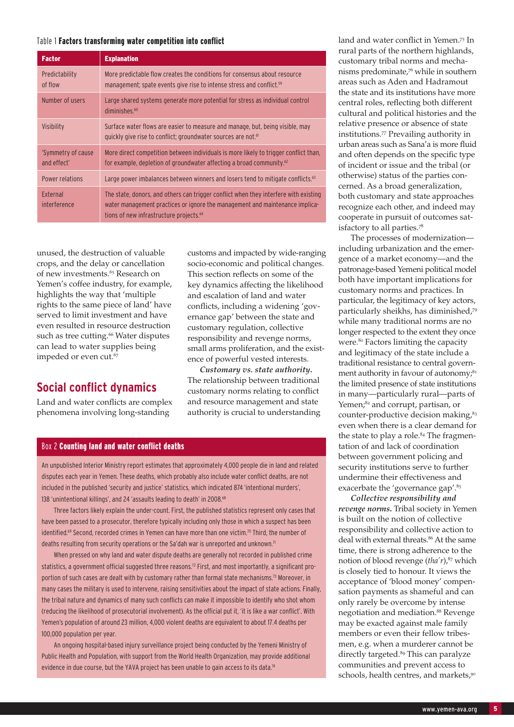#### Table 1 Factors transforming water competition into conflict

| <b>Factor</b>                     | <b>Explanation</b>                                                                                                                                                                                                          |
|-----------------------------------|-----------------------------------------------------------------------------------------------------------------------------------------------------------------------------------------------------------------------------|
| Predictability<br>of flow         | More predictable flow creates the conditions for consensus about resource<br>management; spate events give rise to intense stress and conflict. <sup>59</sup>                                                               |
| Number of users                   | Large shared systems generate more potential for stress as individual control<br>diminishes. $60$                                                                                                                           |
| Visibility                        | Surface water flows are easier to measure and manage, but, being visible, may<br>quickly give rise to conflict; groundwater sources are not. <sup>61</sup>                                                                  |
| 'Symmetry of cause<br>and effect' | More direct competition between individuals is more likely to trigger conflict than,<br>for example, depletion of groundwater affecting a broad community. <sup>62</sup>                                                    |
| <b>Power relations</b>            | Large power imbalances between winners and losers tend to mitigate conflicts. <sup>63</sup>                                                                                                                                 |
| External<br>interference          | The state, donors, and others can trigger conflict when they interfere with existing<br>water management practices or ignore the management and maintenance implica-<br>tions of new infrastructure projects. <sup>64</sup> |

unused, the destruction of valuable crops, and the delay or cancellation of new investments.<sup>65</sup> Research on Yemen's coffee industry, for example, highlights the way that 'multiple rights to the same piece of land' have served to limit investment and have even resulted in resource destruction such as tree cutting.<sup>66</sup> Water disputes can lead to water supplies being impeded or even cut.<sup>67</sup>

# **Social conflict dynamics**

Land and water conflicts are complex phenomena involving long-standing

customs and impacted by wide-ranging socio-economic and political changes. This section reflects on some of the key dynamics affecting the likelihood and escalation of land and water conflicts, including a widening 'governance gap' between the state and customary regulation, collective responsibility and revenge norms, small arms proliferation, and the existence of powerful vested interests.

*Customary vs. state authority***.** The relationship between traditional customary norms relating to conflict and resource management and state authority is crucial to understanding

### Box 2 Counting land and water conflict deaths

An unpublished Interior Ministry report estimates that approximately 4,000 people die in land and related disputes each year in Yemen. These deaths, which probably also include water conflict deaths, are not included in the published 'security and justice' statistics, which indicated 874 'intentional murders', 138 'unintentional killings', and 24 'assaults leading to death' in 2008.<sup>68</sup>

Three factors likely explain the under-count. First, the published statistics represent only cases that have been passed to a prosecutor, therefore typically including only those in which a suspect has been identified.<sup>69</sup> Second, recorded crimes in Yemen can have more than one victim.<sup>70</sup> Third, the number of deaths resulting from security operations or the Sa'dah war is unreported and unknown.<sup>71</sup>

When pressed on why land and water dispute deaths are generally not recorded in published crime statistics, a government official suggested three reasons.<sup>72</sup> First, and most importantly, a significant proportion of such cases are dealt with by customary rather than formal state mechanisms.73 Moreover, in many cases the military is used to intervene, raising sensitivities about the impact of state actions. Finally, the tribal nature and dynamics of many such conflicts can make it impossible to identify who shot whom (reducing the likelihood of prosecutorial involvement). As the official put it, 'it is like a war conflict'. With Yemen's population of around 23 million, 4,000 violent deaths are equivalent to about 17.4 deaths per 100,000 population per year.

An ongoing hospital-based injury surveillance project being conducted by the Yemeni Ministry of Public Health and Population, with support from the World Health Organization, may provide additional evidence in due course, but the YAVA project has been unable to gain access to its data.<sup>74</sup>

land and water conflict in Yemen.<sup>75</sup> In rural parts of the northern highlands, customary tribal norms and mechanisms predominate,<sup>76</sup> while in southern areas such as Aden and Hadramout the state and its institutions have more central roles, reflecting both different cultural and political histories and the relative presence or absence of state institutions.<sup>77</sup> Prevailing authority in urban areas such as Sana'a is more fluid and often depends on the specific type of incident or issue and the tribal (or otherwise) status of the parties concerned. As a broad generalization, both customary and state approaches recognize each other, and indeed may cooperate in pursuit of outcomes satisfactory to all parties.<sup>78</sup>

The processes of modernization including urbanization and the emergence of a market economy—and the patronage-based Yemeni political model both have important implications for customary norms and practices. In particular, the legitimacy of key actors, particularly sheikhs, has diminished,<sup>79</sup> while many traditional norms are no longer respected to the extent they once were.<sup>80</sup> Factors limiting the capacity and legitimacy of the state include a traditional resistance to central government authority in favour of autonomy; $81$ the limited presence of state institutions in many—particularly rural—parts of Yemen;<sup>82</sup> and corrupt, partisan, or counter-productive decision making,<sup>83</sup> even when there is a clear demand for the state to play a role.<sup>84</sup> The fragmentation of and lack of coordination between government policing and security institutions serve to further undermine their effectiveness and exacerbate the 'governance gap'.<sup>85</sup>

*Collective responsibility and revenge norms***.** Tribal society in Yemen is built on the notion of collective responsibility and collective action to deal with external threats.<sup>86</sup> At the same time, there is strong adherence to the notion of blood revenge (*tha'r*),<sup>87</sup> which is closely tied to honour. It views the acceptance of 'blood money' compensation payments as shameful and can only rarely be overcome by intense negotiation and mediation.<sup>88</sup> Revenge may be exacted against male family members or even their fellow tribesmen, e.g. when a murderer cannot be directly targeted.<sup>89</sup> This can paralyze communities and prevent access to schools, health centres, and markets,<sup>90</sup>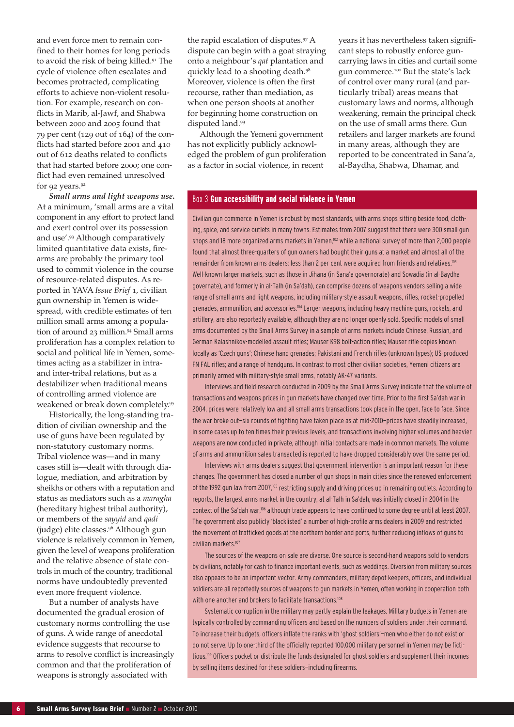and even force men to remain confined to their homes for long periods to avoid the risk of being killed.<sup>91</sup> The cycle of violence often escalates and becomes protracted, complicating efforts to achieve non-violent resolution. For example, research on conflicts in Marib, al-Jawf, and Shabwa between 2000 and 2005 found that 79 per cent (129 out of 164) of the conflicts had started before 2001 and 410 out of 612 deaths related to conflicts that had started before 2000; one conflict had even remained unresolved for 92 years.<sup>92</sup>

*Small arms and light weapons use***.** At a minimum, 'small arms are a vital component in any effort to protect land and exert control over its possession and use'.<sup>93</sup> Although comparatively limited quantitative data exists, firearms are probably the primary tool used to commit violence in the course of resource-related disputes. As reported in YAVA *Issue Brief* 1, civilian gun ownership in Yemen is widespread, with credible estimates of ten million small arms among a population of around 23 million.<sup>94</sup> Small arms proliferation has a complex relation to social and political life in Yemen, sometimes acting as a stabilizer in intraand inter-tribal relations, but as a destabilizer when traditional means of controlling armed violence are weakened or break down completely.<sup>95</sup>

Historically, the long-standing tradition of civilian ownership and the use of guns have been regulated by non-statutory customary norms. Tribal violence was—and in many cases still is—dealt with through dialogue, mediation, and arbitration by sheikhs or others with a reputation and status as mediators such as a *maragha* (hereditary highest tribal authority), or members of the *sayyid* and *qadi*  (judge) elite classes.<sup>96</sup> Although gun violence is relatively common in Yemen, given the level of weapons proliferation and the relative absence of state controls in much of the country, traditional norms have undoubtedly prevented even more frequent violence.

But a number of analysts have documented the gradual erosion of customary norms controlling the use of guns. A wide range of anecdotal evidence suggests that recourse to arms to resolve conflict is increasingly common and that the proliferation of weapons is strongly associated with

the rapid escalation of disputes.<sup>97</sup> A dispute can begin with a goat straying onto a neighbour's *qat* plantation and quickly lead to a shooting death.<sup>98</sup> Moreover, violence is often the first recourse, rather than mediation, as when one person shoots at another for beginning home construction on disputed land.<sup>99</sup>

Although the Yemeni government has not explicitly publicly acknowledged the problem of gun proliferation as a factor in social violence, in recent

years it has nevertheless taken significant steps to robustly enforce guncarrying laws in cities and curtail some gun commerce.<sup>100</sup> But the state's lack of control over many rural (and particularly tribal) areas means that customary laws and norms, although weakening, remain the principal check on the use of small arms there. Gun retailers and larger markets are found in many areas, although they are reported to be concentrated in Sana'a, al-Baydha, Shabwa, Dhamar, and

#### Box 3 Gun accessibility and social violence in Yemen

Civilian gun commerce in Yemen is robust by most standards, with arms shops sitting beside food, clothing, spice, and service outlets in many towns. Estimates from 2007 suggest that there were 300 small gun shops and 18 more organized arms markets in Yemen,<sup>102</sup> while a national survey of more than 2,000 people found that almost three-quarters of gun owners had bought their guns at a market and almost all of the remainder from known arms dealers; less than 2 per cent were acquired from friends and relatives.<sup>103</sup> Well-known larger markets, such as those in Jihana (in Sana'a governorate) and Sowadia (in al-Baydha governate), and formerly in al-Talh (in Sa'dah), can comprise dozens of weapons vendors selling a wide range of small arms and light weapons, including military-style assault weapons, rifles, rocket-propelled grenades, ammunition, and accessories.104 Larger weapons, including heavy machine guns, rockets, and artillery, are also reportedly available, although they are no longer openly sold. Specific models of small arms documented by the Small Arms Survey in a sample of arms markets include Chinese, Russian, and German Kalashnikov-modelled assault rifles; Mauser K98 bolt-action rifles; Mauser rifle copies known locally as 'Czech guns'; Chinese hand grenades; Pakistani and French rifles (unknown types); US-produced FN FAL rifles; and a range of handguns. In contrast to most other civilian societies, Yemeni citizens are primarily armed with military-style small arms, notably AK-47 variants.

Interviews and field research conducted in 2009 by the Small Arms Survey indicate that the volume of transactions and weapons prices in gun markets have changed over time. Prior to the first Sa'dah war in 2004, prices were relatively low and all small arms transactions took place in the open, face to face. Since the war broke out-six rounds of fighting have taken place as at mid-2010-prices have steadily increased, in some cases up to ten times their previous levels, and transactions involving higher volumes and heavier weapons are now conducted in private, although initial contacts are made in common markets. The volume of arms and ammunition sales transacted is reported to have dropped considerably over the same period.

Interviews with arms dealers suggest that government intervention is an important reason for these changes. The government has closed a number of gun shops in main cities since the renewed enforcement of the 1992 gun law from 2007,<sup>105</sup> restricting supply and driving prices up in remaining outlets. According to reports, the largest arms market in the country, at al-Talh in Sa'dah, was initially closed in 2004 in the context of the Sa'dah war,106 although trade appears to have continued to some degree until at least 2007. The government also publicly 'blacklisted' a number of high-profile arms dealers in 2009 and restricted the movement of trafficked goods at the northern border and ports, further reducing inflows of guns to civilian markets.107

The sources of the weapons on sale are diverse. One source is second-hand weapons sold to vendors by civilians, notably for cash to finance important events, such as weddings. Diversion from military sources also appears to be an important vector. Army commanders, military depot keepers, officers, and individual soldiers are all reportedly sources of weapons to gun markets in Yemen, often working in cooperation both with one another and brokers to facilitate transactions.<sup>108</sup>

Systematic corruption in the military may partly explain the leakages. Military budgets in Yemen are typically controlled by commanding officers and based on the numbers of soldiers under their command. To increase their budgets, officers inflate the ranks with 'ghost soldiers'—men who either do not exist or do not serve. Up to one-third of the officially reported 100,000 military personnel in Yemen may be fictitious.<sup>109</sup> Officers pocket or distribute the funds designated for ghost soldiers and supplement their incomes by selling items destined for these soldiers—including firearms.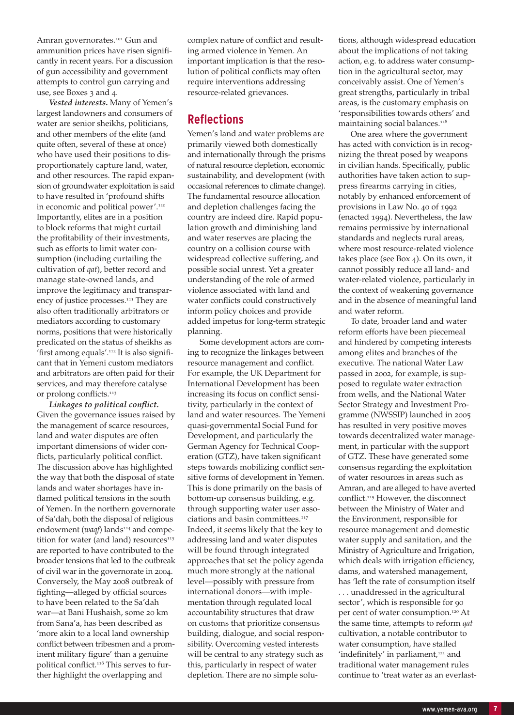Amran governorates.<sup>101</sup> Gun and ammunition prices have risen significantly in recent years. For a discussion of gun accessibility and government attempts to control gun carrying and use, see Boxes 3 and 4.

*Vested interests***.** Many of Yemen's largest landowners and consumers of water are senior sheikhs, politicians, and other members of the elite (and quite often, several of these at once) who have used their positions to disproportionately capture land, water, and other resources. The rapid expansion of groundwater exploitation is said to have resulted in 'profound shifts in economic and political power'.<sup>110</sup> Importantly, elites are in a position to block reforms that might curtail the profitability of their investments, such as efforts to limit water consumption (including curtailing the cultivation of *qat*), better record and manage state-owned lands, and improve the legitimacy and transparency of justice processes.<sup>111</sup> They are also often traditionally arbitrators or mediators according to customary norms, positions that were historically predicated on the status of sheikhs as 'first among equals'.112 It is also significant that in Yemeni custom mediators and arbitrators are often paid for their services, and may therefore catalyse or prolong conflicts.<sup>113</sup>

*Linkages to political conflict.* Given the governance issues raised by the management of scarce resources, land and water disputes are often important dimensions of wider conflicts, particularly political conflict. The discussion above has highlighted the way that both the disposal of state lands and water shortages have inflamed political tensions in the south of Yemen. In the northern governorate of Sa'dah, both the disposal of religious endowment (*waqf*) lands<sup>114</sup> and competition for water (and land) resources $115$ are reported to have contributed to the broader tensions that led to the outbreak of civil war in the governorate in 2004. Conversely, the May 2008 outbreak of fighting—alleged by official sources to have been related to the Sa'dah war—at Bani Hushaish, some 20 km from Sana'a, has been described as 'more akin to a local land ownership conflict between tribesmen and a prominent military figure' than a genuine political conflict.<sup>116</sup> This serves to further highlight the overlapping and

complex nature of conflict and resulting armed violence in Yemen. An important implication is that the resolution of political conflicts may often require interventions addressing resource-related grievances.

# **Reflections**

Yemen's land and water problems are primarily viewed both domestically and internationally through the prisms of natural resource depletion, economic sustainability, and development (with occasional references to climate change). The fundamental resource allocation and depletion challenges facing the country are indeed dire. Rapid population growth and diminishing land and water reserves are placing the country on a collision course with widespread collective suffering, and possible social unrest. Yet a greater understanding of the role of armed violence associated with land and water conflicts could constructively inform policy choices and provide added impetus for long-term strategic planning.

Some development actors are coming to recognize the linkages between resource management and conflict. For example, the UK Department for International Development has been increasing its focus on conflict sensitivity, particularly in the context of land and water resources. The Yemeni quasi-governmental Social Fund for Development, and particularly the German Agency for Technical Cooperation (GTZ), have taken significant steps towards mobilizing conflict sensitive forms of development in Yemen. This is done primarily on the basis of bottom-up consensus building, e.g. through supporting water user associations and basin committees.<sup>117</sup> Indeed, it seems likely that the key to addressing land and water disputes will be found through integrated approaches that set the policy agenda much more strongly at the national level—possibly with pressure from international donors—with implementation through regulated local accountability structures that draw on customs that prioritize consensus building, dialogue, and social responsibility. Overcoming vested interests will be central to any strategy such as this, particularly in respect of water depletion. There are no simple solutions, although widespread education about the implications of not taking action, e.g. to address water consumption in the agricultural sector, may conceivably assist. One of Yemen's great strengths, particularly in tribal areas, is the customary emphasis on 'responsibilities towards others' and maintaining social balances.<sup>118</sup>

One area where the government has acted with conviction is in recognizing the threat posed by weapons in civilian hands. Specifically, public authorities have taken action to suppress firearms carrying in cities, notably by enhanced enforcement of provisions in Law No. 40 of 1992 (enacted 1994). Nevertheless, the law remains permissive by international standards and neglects rural areas, where most resource-related violence takes place (see Box 4). On its own, it cannot possibly reduce all land- and water-related violence, particularly in the context of weakening governance and in the absence of meaningful land and water reform.

To date, broader land and water reform efforts have been piecemeal and hindered by competing interests among elites and branches of the executive. The national Water Law passed in 2002, for example, is supposed to regulate water extraction from wells, and the National Water Sector Strategy and Investment Programme (NWSSIP) launched in 2005 has resulted in very positive moves towards decentralized water management, in particular with the support of GTZ. These have generated some consensus regarding the exploitation of water resources in areas such as Amran, and are alleged to have averted conflict.<sup>119</sup> However, the disconnect between the Ministry of Water and the Environment, responsible for resource management and domestic water supply and sanitation, and the Ministry of Agriculture and Irrigation, which deals with irrigation efficiency, dams, and watershed management, has 'left the rate of consumption itself . . . unaddressed in the agricultural sector', which is responsible for 90 per cent of water consumption.<sup>120</sup> At the same time, attempts to reform *qat* cultivation, a notable contributor to water consumption, have stalled 'indefinitely' in parliament,<sup>121</sup> and traditional water management rules continue to 'treat water as an everlast-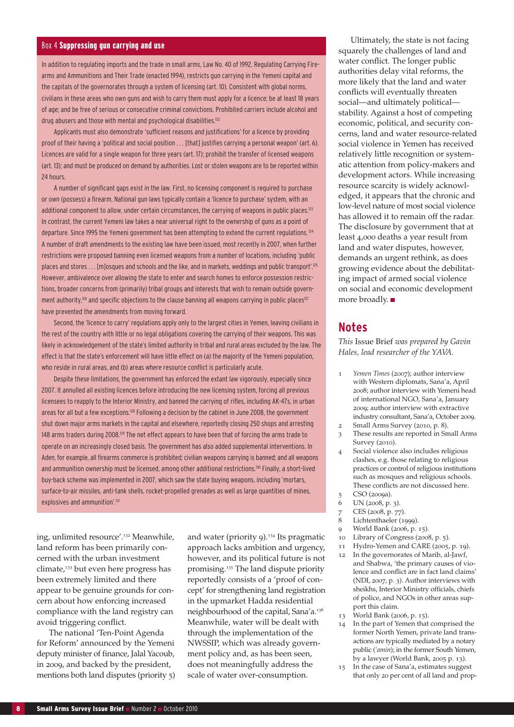#### Box 4 Suppressing gun carrying and use

In addition to regulating imports and the trade in small arms, Law No. 40 of 1992, Regulating Carrying Firearms and Ammunitions and Their Trade (enacted 1994), restricts gun carrying in the Yemeni capital and the capitals of the governorates through a system of licensing (art. 10). Consistent with global norms, civilians in these areas who own guns and wish to carry them must apply for a licence; be at least 18 years of age; and be free of serious or consecutive criminal convictions. Prohibited carriers include alcohol and drug abusers and those with mental and psychological disabilities.122

Applicants must also demonstrate 'sufficient reasons and justifications' for a licence by providing proof of their having a 'political and social position . . . [that] justifies carrying a personal weapon' (art. 6). Licences are valid for a single weapon for three years (art. 17); prohibit the transfer of licensed weapons (art. 13); and must be produced on demand by authorities. Lost or stolen weapons are to be reported within 24 hours.

A number of significant gaps exist in the law. First, no licensing component is required to purchase or own (possess) a firearm. National gun laws typically contain a 'licence to purchase' system, with an additional component to allow, under certain circumstances, the carrying of weapons in public places.<sup>123</sup> In contrast, the current Yemeni law takes a near universal right to the ownership of guns as a point of departure. Since 1995 the Yemeni government has been attempting to extend the current regulations.<sup>124</sup> A number of draft amendments to the existing law have been issued, most recently in 2007, when further restrictions were proposed banning even licensed weapons from a number of locations, including 'public places and stores . . . [m]osques and schools and the like, and in markets, weddings and public transport'.<sup>125</sup> However, ambivalence over allowing the state to enter and search homes to enforce possession restrictions, broader concerns from (primarily) tribal groups and interests that wish to remain outside government authority,<sup>126</sup> and specific objections to the clause banning all weapons carrying in public places<sup>127</sup> have prevented the amendments from moving forward.

Second, the 'licence to carry' regulations apply only to the largest cities in Yemen, leaving civilians in the rest of the country with little or no legal obligations covering the carrying of their weapons. This was likely in acknowledgement of the state's limited authority in tribal and rural areas excluded by the law. The effect is that the state's enforcement will have little effect on (a) the majority of the Yemeni population, who reside in rural areas, and (b) areas where resource conflict is particularly acute.

Despite these limitations, the government has enforced the extant law vigorously, especially since 2007. It annulled all existing licences before introducing the new licensing system, forcing all previous licensees to reapply to the Interior Ministry, and banned the carrying of rifles, including AK-47s, in urban areas for all but a few exceptions.<sup>128</sup> Following a decision by the cabinet in June 2008, the government shut down major arms markets in the capital and elsewhere, reportedly closing 250 shops and arresting 148 arms traders during 2008.<sup>129</sup> The net effect appears to have been that of forcing the arms trade to operate on an increasingly closed basis. The government has also added supplemental interventions. In Aden, for example, all firearms commerce is prohibited; civilian weapons carrying is banned; and all weapons and ammunition ownership must be licensed, among other additional restrictions.130 Finally, a short-lived buy-back scheme was implemented in 2007, which saw the state buying weapons, including 'mortars, surface-to-air missiles, anti-tank shells, rocket-propelled grenades as well as large quantities of mines, explosives and ammunition'.<sup>131</sup>

ing, unlimited resource'.<sup>132</sup> Meanwhile, land reform has been primarily concerned with the urban investment  $climate<sub>r</sub>$ <sup>133</sup> but even here progress has been extremely limited and there appear to be genuine grounds for concern about how enforcing increased compliance with the land registry can avoid triggering conflict.

The national 'Ten-Point Agenda for Reform' announced by the Yemeni deputy minister of finance, Jalal Yacoub, in 2009, and backed by the president, mentions both land disputes (priority 5)

and water (priority 9).<sup>134</sup> Its pragmatic approach lacks ambition and urgency, however, and its political future is not promising.<sup>135</sup> The land dispute priority reportedly consists of a 'proof of concept' for strengthening land registration in the upmarket Hadda residential neighbourhood of the capital, Sana'a.<sup>136</sup> Meanwhile, water will be dealt with through the implementation of the NWSSIP, which was already government policy and, as has been seen, does not meaningfully address the scale of water over-consumption.

Ultimately, the state is not facing squarely the challenges of land and water conflict. The longer public authorities delay vital reforms, the more likely that the land and water conflicts will eventually threaten social—and ultimately political stability. Against a host of competing economic, political, and security concerns, land and water resource-related social violence in Yemen has received relatively little recognition or systematic attention from policy-makers and development actors. While increasing resource scarcity is widely acknowledged, it appears that the chronic and low-level nature of most social violence has allowed it to remain off the radar. The disclosure by government that at least 4,000 deaths a year result from land and water disputes, however, demands an urgent rethink, as does growing evidence about the debilitating impact of armed social violence on social and economic development more broadly.

### **Notes**

*This* Issue Brief *was prepared by Gavin Hales, lead researcher of the YAVA.* 

- 1 *Yemen Times* (2007); author interview with Western diplomats, Sana'a, April 2008; author interview with Yemeni head of international NGO, Sana'a, January 2009; author interview with extractive industry consultant, Sana'a, October 2009.
- 2 Small Arms Survey (2010, p. 8).
- 3 These results are reported in Small Arms Survey (2010).
- 4 Social violence also includes religious clashes, e.g. those relating to religious practices or control of religious institutions such as mosques and religious schools. These conflicts are not discussed here.
- 5 CSO (2009a).
- 6 UN (2008, p. 3).
- 7 CES (2008, p. 77).
- 8 Lichtenthaeler (1999).
- 9 World Bank (2006, p. 15).
- 10 Library of Congress (2008, p. 5).
- 11 Hydro-Yemen and CARE (2005, p. 19).
- 12 In the governorates of Marib, al-Jawf, and Shabwa, 'the primary causes of violence and conflict are in fact land claims' (NDI, 2007, p. 3). Author interviews with sheikhs, Interior Ministry officials, chiefs of police, and NGOs in other areas support this claim.
- 13 World Bank (2006, p. 15).
- 14 In the part of Yemen that comprised the former North Yemen, private land transactions are typically mediated by a notary public (*'amin*); in the former South Yemen, by a lawyer (World Bank, 2005 p. 13).
- 15 In the case of Sana'a, estimates suggest that only 20 per cent of all land and prop-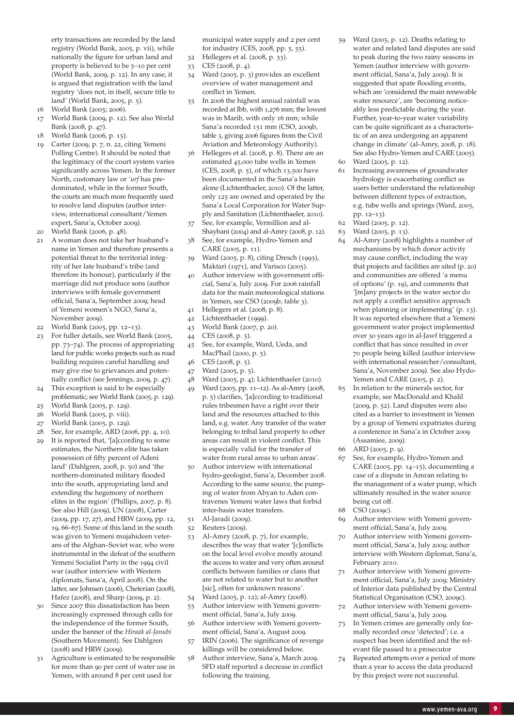erty transactions are recorded by the land registry (World Bank, 2005, p. vii), while nationally the figure for urban land and property is believed to be 5–10 per cent (World Bank, 2009, p. 12). In any case, it is argued that registration with the land registry 'does not, in itself, secure title to land' (World Bank, 2005, p. 5).

- 16 World Bank (2005; 2006).
- 17 World Bank (2009, p. 12). See also World Bank (2008, p. 47).
- 18 World Bank (2006, p. 15).
- 19 Carter (2009, p. 7, n. 22, citing Yemeni Polling Centre). It should be noted that the legitimacy of the court system varies significantly across Yemen. In the former North, customary law or *'urf* has predominated, while in the former South, the courts are much more frequently used to resolve land disputes (author interview, international consultant/Yemen expert, Sana'a, October 2009).
- 20 World Bank (2006, p. 48).
- 21 A woman does not take her husband's name in Yemen and therefore presents a potential threat to the territorial integrity of her late husband's tribe (and therefore its honour), particularly if the marriage did not produce sons (author interviews with female government official, Sana'a, September 2009; head of Yemeni women's NGO, Sana'a, November 2009).
- 22 World Bank (2005, pp. 12–13).
- 23 For fuller details, see World Bank (2005, pp. 73–74). The process of appropriating land for public works projects such as road building requires careful handling and may give rise to grievances and potentially conflict (see Jennings, 2009, p. 47).
- 24 This exception is said to be especially problematic; see World Bank (2005, p. 129).
- 25 World Bank (2005, p. 129).
- 26 World Bank (2005, p. viii).
- 27 World Bank (2005, p. 129).
- $28$  See, for example, ARD (2006, pp. 4, 10). 29 It is reported that, '[a]ccording to some estimates, the Northern elite has taken possession of fifty percent of Adeni land' (Dahlgren, 2008, p. 50) and 'the northern-dominated military flooded into the south, appropriating land and extending the hegemony of northern elites in the region' (Phillips, 2007, p. 8). See also Hill (2009), UN (2008), Carter (2009, pp. 17, 27), and HRW (2009, pp. 12, 19, 66–67). Some of this land in the south was given to Yemeni mujahideen veterans of the Afghan–Soviet war, who were instrumental in the defeat of the southern
	- Yemeni Socialist Party in the 1994 civil war (author interview with Western diplomats, Sana'a, April 2008). On the latter, see Johnsen (2006), Cheterian (2008), Hafez (2008), and Sharp (2009, p. 2).
- Since 2007 this dissatisfaction has been increasingly expressed through calls for the independence of the former South, under the banner of the *Hiraak al-Janubi* (Southern Movement). See Dahlgren (2008) and HRW (2009).
- 31 Agriculture is estimated to be responsible for more than 90 per cent of water use in Yemen, with around 8 per cent used for

municipal water supply and 2 per cent for industry (CES, 2008, pp. 5, 55).

- 32 Hellegers et al. (2008, p. 33).
- 33 CES (2008, p. 4).
- 34 Ward (2005, p. 3) provides an excellent overview of water management and conflict in Yemen.
- In 2006 the highest annual rainfall was recorded at Ibb, with 1,276 mm; the lowest was in Marib, with only 16 mm; while Sana'a recorded 151 mm (CSO, 2009b, table 3, giving 2006 figures from the Civil Aviation and Meteorology Authority).
- 36 Hellegers et al. (2008, p. 8). There are an estimated 45,000 tube wells in Yemen (CES, 2008, p. 5), of which 13,500 have been documented in the Sana'a basin alone (Lichtenthaeler, 2010). Of the latter, only 125 are owned and operated by the Sana'a Local Corporation for Water Supply and Sanitation (Lichtenthaeler, 2010).
- 37 See, for example, Vermillion and al-Shaybani (2004) and al-Amry (2008, p. 12).
- 38 See, for example, Hydro-Yemen and CARE (2005, p. 11).
- 39 Ward (2005, p. 8), citing Dresch (1993), Maktari (1971), and Varisco (2005).
- 40 Author interview with government official, Sana'a, July 2009. For 2006 rainfall data for the main meteorological stations in Yemen, see CSO (2009b, table 3).
- 41 Hellegers et al. (2008, p. 8).
- 42 Lichtenthaeler (1999).
- 43 World Bank (2007, p. 20).
- 44 CES (2008, p. 5).
- 45 See, for example, Ward, Ueda, and MacPhail (2000, p. 5).
- 46 CES (2008, p. 5).
- 47 Ward (2005, p. 5).
- 48 Ward (2005, p. 4); Lichtenthaeler (2010).
- 49 Ward (2005, pp. 11–12). As al-Amry (2008, p. 5) clarifies, '[a]ccording to traditional rules tribesmen have a right over their land and the resources attached to this land, e.g. water. Any transfer of the water belonging to tribal land property to other areas can result in violent conflict. This is especially valid for the transfer of water from rural areas to urban areas'.
- 50 Author interview with international hydro-geologist, Sana'a, December 2008. According to the same source, the pumping of water from Abyan to Aden contravenes Yemeni water laws that forbid inter-basin water transfers.
- 51 Al-Jaradi (2009).
- 52 Reuters (2009).
- 53 Al-Amry (2008, p. 7), for example, describes the way that water '[c]onflicts on the local level evolve mostly around the access to water and very often around conflicts between families or clans that are not related to water but to another [sic], often for unknown reasons'.
- 54 Ward (2005, p. 12); al-Amry (2008).
- 55 Author interview with Yemeni government official, Sana'a, July 2009.
- 56 Author interview with Yemeni government official, Sana'a, August 2009.
- 57 IRIN (2006). The significance of revenge killings will be considered below.
- 58 Author interview, Sana'a, March 2009. SFD staff reported a decrease in conflict following the training.
- 59 Ward (2005, p. 12). Deaths relating to water and related land disputes are said to peak during the two rainy seasons in Yemen (author interview with government official, Sana'a, July 2009). It is suggested that spate flooding events, which are 'considered the main renewable water resource', are 'becoming noticeably less predictable during the year. Further, year-to-year water variability can be quite significant as a characteristic of an area undergoing an apparent change in climate' (al-Amry, 2008, p. 18). See also Hydro-Yemen and CARE (2005). 60 Ward (2005, p. 12).
- 61 Increasing awareness of groundwater hydrology is exacerbating conflict as users better understand the relationship between different types of extraction, e.g. tube wells and springs (Ward, 2005, pp. 12–13).
- 62 Ward (2005, p. 12).
- 63 Ward (2005, p. 13).
- 64 Al-Amry (2008) highlights a number of mechanisms by which donor activity may cause conflict, including the way that projects and facilities are sited (p. 20) and communities are offered 'a menu of options' (p. 19), and comments that '[m]any projects in the water sector do not apply a conflict sensitive approach when planning or implementing' (p. 13). It was reported elsewhere that a Yemeni government water project implemented over 30 years ago in al-Jawf triggered a conflict that has since resulted in over 70 people being killed (author interview with international researcher/consultant, Sana'a, November 2009). See also Hydo-Yemen and CARE (2005, p. 2).
- 65 In relation to the minerals sector, for example, see MacDonald and Khalil (2009, p. 52). Land disputes were also cited as a barrier to investment in Yemen by a group of Yemeni expatriates during a conference in Sana'a in October 2009 (Assamiee, 2009).
- 66 ARD (2005, p. 9).
- 67 See, for example, Hydro-Yemen and CARE (2005, pp. 14–15), documenting a case of a dispute in Amran relating to the management of a water pump, which ultimately resulted in the water source being cut off.
- 68 CSO (2009c).
- 69 Author interview with Yemeni government official, Sana'a, July 2009.
- 70 Author interview with Yemeni government official, Sana'a, July 2009; author interview with Western diplomat, Sana'a, February 2010.
- 71 Author interview with Yemeni government official, Sana'a, July 2009; Ministry of Interior data published by the Central Statistical Organisation (CSO, 2009c).
- 72 Author interview with Yemeni government official, Sana'a, July 2009.
- 73 In Yemen crimes are generally only formally recorded once 'detected'; i.e. a suspect has been identified and the relevant file passed to a prosecutor
- 74 Repeated attempts over a period of more than a year to access the data produced by this project were not successful.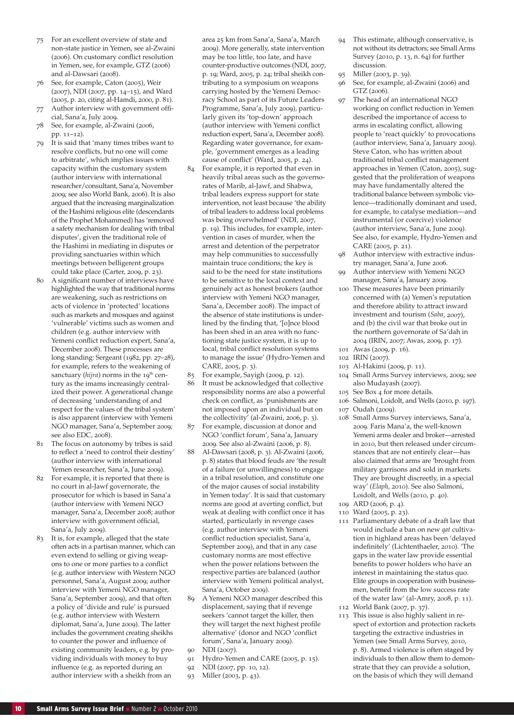- 75 For an excellent overview of state and non-state justice in Yemen, see al-Zwaini (2006). On customary conflict resolution in Yemen, see, for example, GTZ (2006) and al-Dawsari (2008).
- See, for example, Caton (2005), Weir (2007), NDI (2007, pp. 14–15), and Ward (2005, p. 20, citing al-Hamdi, 2000, p. 81).
- 77 Author interview with government official, Sana'a, July 2009.
- 78 See, for example, al-Zwaini (2006, pp. 11–12).
- 79 It is said that 'many times tribes want to resolve conflicts, but no one will come to arbitrate', which implies issues with capacity within the customary system (author interview with international researcher/consultant, Sana'a, November 2009; see also World Bank, 2006). It is also argued that the increasing marginalization of the Hashimi religious elite (descendants of the Prophet Mohammed) has 'removed a safety mechanism for dealing with tribal disputes', given the traditional role of the Hashimi in mediating in disputes or providing sanctuaries within which meetings between belligerent groups could take place (Carter, 2009, p. 23).
- 80 A significant number of interviews have highlighted the way that traditional norms are weakening, such as restrictions on acts of violence in 'protected' locations such as markets and mosques and against 'vulnerable' victims such as women and children (e.g. author interview with Yemeni conflict reduction expert, Sana'a, December 2008). These processes are long standing: Sergeant (1982, pp. 27–28), for example, refers to the weakening of sanctuary (hijra) norms in the 19<sup>th</sup> century as the imams increasingly centralized their power. A generational change of decreasing 'understanding of and respect for the values of the tribal system' is also apparent (interview with Yemeni NGO manager, Sana'a, September 2009; see also EDC, 2008).
- 81 The focus on autonomy by tribes is said to reflect a 'need to control their destiny' (author interview with international Yemen researcher, Sana'a, June 2009).
- 82 For example, it is reported that there is no court in al-Jawf governorate, the prosecutor for which is based in Sana'a (author interview with Yemeni NGO manager, Sana'a, December 2008; author interview with government official, Sana'a, July 2009).
- 83 It is, for example, alleged that the state often acts in a partisan manner, which can even extend to selling or giving weapons to one or more parties to a conflict (e.g. author interview with Western NGO personnel, Sana'a, August 2009; author interview with Yemeni NGO manager, Sana'a, September 2009), and that often a policy of 'divide and rule' is pursued (e.g. author interview with Western diplomat, Sana'a, June 2009). The latter includes the government creating sheikhs to counter the power and influence of existing community leaders, e.g. by providing individuals with money to buy influence (e.g. as reported during an author interview with a sheikh from an

area 25 km from Sana'a, Sana'a, March 2009). More generally, state intervention may be too little, too late, and have counter-productive outcomes (NDI, 2007, p. 19; Ward, 2005, p. 24; tribal sheikh contributing to a symposium on weapons carrying hosted by the Yemeni Democracy School as part of its Future Leaders Programme, Sana'a, July 2009), particularly given its 'top-down' approach (author interview with Yemeni conflict reduction expert, Sana'a, December 2008). Regarding water governance, for example, 'government emerges as a leading cause of conflict' (Ward, 2005, p. 24).

- 84 For example, it is reported that even in heavily tribal areas such as the governorates of Marib, al-Jawf, and Shabwa, tribal leaders express support for state intervention, not least because 'the ability of tribal leaders to address local problems was being overwhelmed' (NDI, 2007, p. 19). This includes, for example, intervention in cases of murder, when the arrest and detention of the perpetrator may help communities to successfully maintain truce conditions; the key is said to be the need for state institutions to be sensitive to the local context and genuinely act as honest brokers (author interview with Yemeni NGO manager, Sana'a, December 2008). The impact of the absence of state institutions is underlined by the finding that, '[o]nce blood has been shed in an area with no functioning state justice system, it is up to local, tribal conflict resolution systems to manage the issue' (Hydro-Yemen and CARE, 2005, p. 3).
- For example, Sayigh (2009, p. 12).
- 86 It must be acknowledged that collective responsibility norms are also a powerful check on conflict, as 'punishments are not imposed upon an individual but on the collectivity' (al-Zwaini, 2006, p. 3).
- 87 For example, discussion at donor and NGO 'conflict forum', Sana'a, January 2009. See also al-Zwaini (2006, p. 8).
- 88 Al-Dawsari (2008, p. 3). Al-Zwaini (2006, p. 8) states that blood feuds are 'the result of a failure (or unwillingness) to engage in a tribal resolution, and constitute one of the major causes of social instability in Yemen today'. It is said that customary norms are good at averting conflict, but weak at dealing with conflict once it has started, particularly in revenge cases (e.g. author interview with Yemeni conflict reduction specialist, Sana'a, September 2009), and that in any case customary norms are most effective when the power relations between the respective parties are balanced (author interview with Yemeni political analyst, Sana'a, October 2009).
- A Yemeni NGO manager described this displacement, saying that if revenge seekers 'cannot target the killer, then they will target the next highest profile alternative' (donor and NGO 'conflict forum', Sana'a, January 2009).
- 90 NDI (2007).
- 91 Hydro-Yemen and CARE (2005, p. 15).
- 92 NDI (2007, pp. 10, 12).
- 93 Miller (2003, p. 43).
- 94 This estimate, although conservative, is not without its detractors; see Small Arms Survey (2010, p. 13, n. 64) for further discussion.
- Miller (2003, p. 39).
- 96 See, for example, al-Zwaini (2006) and GTZ (2006).
- 97 The head of an international NGO working on conflict reduction in Yemen described the importance of access to arms in escalating conflict, allowing people to 'react quickly' to provocations (author interview, Sana'a, January 2009). Steve Caton, who has written about traditional tribal conflict management approaches in Yemen (Caton, 2005), suggested that the proliferation of weapons may have fundamentally altered the traditional balance between symbolic violence—traditionally dominant and used, for example, to catalyse mediation—and instrumental (or coercive) violence (author interview, Sana'a, June 2009). See also, for example, Hydro-Yemen and CARE (2005, p. 21).
- 98 Author interview with extractive industry manager, Sana'a, June 2006.
- 99 Author interview with Yemeni NGO manager, Sana'a, January 2009.
- 100 These measures have been primarily concerned with (a) Yemen's reputation and therefore ability to attract inward investment and tourism (*Saba*, 2007), and (b) the civil war that broke out in the northern governorate of Sa'dah in 2004 (IRIN, 2007; Awas, 2009, p. 17).
- 101 Awas (2009, p. 16).
- 102 IRIN (2007).
- 103 Al-Hakimi (2009, p. 11).
- 104 Small Arms Survey interviews, 2009; see also Mudayash (2007).
- 105 See Box 4 for more details.
- 106 Salmoni, Loidolt, and Wells (2010, p. 197). 107 Oudah (2009).
- 
- 108 Small Arms Survey interviews, Sana'a, 2009. Faris Mana'a, the well-known Yemeni arms dealer and broker—arrested in 2010, but then released under circumstances that are not entirely clear—has also claimed that arms are 'brought from military garrisons and sold in markets. They are brought discreetly, in a special way' (*Elaph*, 2010). See also Salmoni, Loidolt, and Wells (2010, p. 40).
- 109 ARD (2006, p. 4).
- 110 Ward (2005, p. 23).
- 111 Parliamentary debate of a draft law that would include a ban on new *qat* cultivation in highland areas has been 'delayed indefinitely' (Lichtenthaeler, 2010). 'The gaps in the water law provide essential benefits to power holders who have an interest in maintaining the status quo. Elite groups in cooperation with businessmen, benefit from the low success rate of the water law' (al-Amry, 2008, p. 11). 112 World Bank (2007, p. 37).
- 
- 113 This issue is also highly salient in respect of extortion and protection rackets targeting the extractive industries in Yemen (see Small Arms Survey, 2010, p. 8). Armed violence is often staged by individuals to then allow them to demonstrate that they can provide a solution, on the basis of which they will demand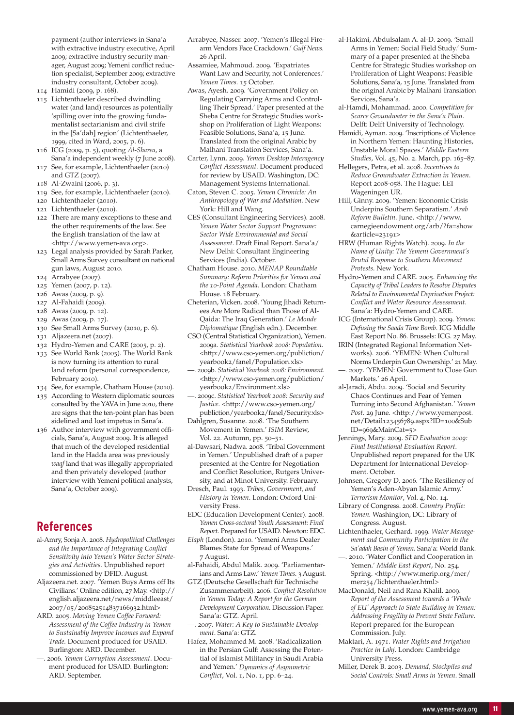payment (author interviews in Sana'a with extractive industry executive, April 2009; extractive industry security manager, August 2009; Yemeni conflict reduction specialist, September 2009; extractive industry consultant, October 2009).

- 114 Hamidi (2009, p. 168).
- 115 Lichtenthaeler described dwindling water (and land) resources as potentially 'spilling over into the growing fundamentalist sectarianism and civil strife in the [Sa'dah] region' (Lichtenthaeler, 1999, cited in Ward, 2005, p. 6).
- 116 ICG (2009, p. 5), quoting *Al-Sharea*, a Sana'a independent weekly (7 June 2008). 117 See, for example, Lichtenthaeler (2010)
- and GTZ (2007).
- 118 Al-Zwaini (2006, p. 3).
- 119 See, for example, Lichtenthaeler (2010). 120 Lichtenthaeler (2010).
- 
- 121 Lichtenthaeler (2010).
- 122 There are many exceptions to these and the other requirements of the law. See the English translation of the law at <http://www.yemen-ava.org>.
- 123 Legal analysis provided by Sarah Parker, Small Arms Survey consultant on national gun laws, August 2010.
- 124 Arrabyee (2007).
- 125 Yemen (2007, p. 12).
- 126 Awas (2009, p. 9).
- 127 Al-Fahaidi (2009).
- 128 Awas (2009, p. 12).
- 129 Awas (2009, p. 17).
- 130 See Small Arms Survey (2010, p. 6).
- 131 Aljazeera.net (2007).
- 132 Hydro-Yemen and CARE (2005, p. 2). 133 See World Bank (2005). The World Bank is now turning its attention to rural land reform (personal correspondence, February 2010).
- 134 See, for example, Chatham House (2010).
- 135 According to Western diplomatic sources consulted by the YAVA in June 2010, there are signs that the ten-point plan has been sidelined and lost impetus in Sana'a.
- 136 Author interview with government officials, Sana'a, August 2009. It is alleged that much of the developed residential land in the Hadda area was previously *waqf* land that was illegally appropriated and then privately developed (author interview with Yemeni political analysts, Sana'a, October 2009).

## **References**

- al-Amry, Sonja A. 2008. *Hydropolitical Challenges and the Importance of Integrating Conflict Sensitivity into Yemen's Water Sector Strategies and Activities*. Unpublished report commissioned by DFID. August.
- Aljazeera.net. 2007. 'Yemen Buys Arms off Its Civilians.' Online edition, 27 May. <http:// english.aljazeera.net/news/middleeast/ 2007/05/200852514837166932.html>
- ARD. 2005. *Moving Yemen Coffee Forward: Assessment of the Coffee Industry in Yemen to Sustainably Improve Incomes and Expand Trade.* Document produced for USAID. Burlington: ARD. December.
- —. 2006. *Yemen Corruption Assessment*. Document produced for USAID. Burlington: ARD. September.
- Arrabyee, Nasser. 2007. 'Yemen's Illegal Firearm Vendors Face Crackdown.' *Gulf News.* 26 April.
- Assamiee, Mahmoud. 2009. 'Expatriates Want Law and Security, not Conferences.' *Yemen Times.* 15 October.
- Awas, Ayesh. 2009. 'Government Policy on Regulating Carrying Arms and Controlling Their Spread.' Paper presented at the Sheba Centre for Strategic Studies workshop on Proliferation of Light Weapons: Feasible Solutions, Sana'a, 15 June. Translated from the original Arabic by Malhani Translation Services, Sana'a.
- Carter, Lynn. 2009. *Yemen Desktop Interagency Conflict Assessment.* Document produced for review by USAID. Washington, DC: Management Systems International.
- Caton, Steven C. 2005. *Yemen Chronicle: An Anthropology of War and Mediation.* New York: Hill and Wang.
- CES (Consultant Engineering Services). 2008. *Yemen Water Sector Support Programme: Sector Wide Environmental and Social Assessment*. Draft Final Report. Sana'a/ New Delhi: Consultant Engineering Services (India). October.
- Chatham House. 2010. *MENAP Roundtable Summary: Reform Priorities for Yemen and the 10-Point Agenda*. London: Chatham House. 18 February.
- Cheterian, Vicken. 2008. 'Young Jihadi Returnees Are More Radical than Those of Al-Qaida: The Iraq Generation.' *Le Monde Diplomatique* (English edn.). December.
- CSO (Central Statistical Organization), Yemen. 2009a. *Statistical Yearbook 2008: Population*. <http://www.cso-yemen.org/publiction/ yearbook2/fanel/Population.xls>
- —. 2009b. *Statistical Yearbook 2008: Environment*. <http://www.cso-yemen.org/publiction/ yearbook2/Environment.xls>
- —. 2009c. *Statistical Yearbook 2008: Security and Justice*. <http://www.cso-yemen.org/ publiction/yearbook2/fanel/Security.xls>
- Dahlgren, Susanne. 2008. 'The Southern Movement in Yemen.' *ISIM* Review, Vol. 22. Autumn, pp. 50–51.
- al-Dawsari, Nadwa. 2008. 'Tribal Government in Yemen.' Unpublished draft of a paper presented at the Centre for Negotiation and Conflict Resolution, Rutgers University, and at Minot University. February.
- Dresch, Paul. 1993. *Tribes, Government, and History in Yemen*. London: Oxford University Press.
- EDC (Education Development Center). 2008. *Yemen Cross-sectoral Youth Assessment: Final Report.* Prepared for USAID. Newton: EDC.
- *Elaph* (London). 2010. 'Yemeni Arms Dealer Blames State for Spread of Weapons.' 7 August.
- al-Fahaidi, Abdul Malik. 2009. 'Parliamentarians and Arms Law.' *Yemen Times*. 3 August.
- GTZ (Deutsche Gesellschaft für Technische Zusammenarbeit). 2006. *Conflict Resolution in Yemen Today: A Report for the German Development Corporation*. Discussion Paper. Sana'a: GTZ. April.
- —. 2007. *Water: A Key to Sustainable Development*. Sana'a: GTZ.
- Hafez, Mohammed M. 2008. 'Radicalization in the Persian Gulf: Assessing the Potential of Islamist Militancy in Saudi Arabia and Yemen.' *Dynamics of Asymmetric Conflict*, Vol. 1, No. 1, pp. 6–24.
- al-Hakimi, Abdulsalam A. al-D. 2009. 'Small Arms in Yemen: Social Field Study.' Summary of a paper presented at the Sheba Centre for Strategic Studies workshop on Proliferation of Light Weapons: Feasible Solutions, Sana'a, 15 June. Translated from the original Arabic by Malhani Translation Services, Sana'a.
- al-Hamdi, Mohammad. 2000. *Competition for Scarce Groundwater in the Sana'a Plain*. Delft: Delft University of Technology.
- Hamidi, Ayman. 2009. 'Inscriptions of Violence in Northern Yemen: Haunting Histories, Unstable Moral Spaces.' *Middle Eastern Studies*, Vol. 45, No. 2. March, pp. 165–87.
- Hellegers, Petra, et al. 2008. *Incentives to Reduce Groundwater Extraction in Yemen*. Report 2008-058. The Hague: LEI Wageningen UR.
- Hill, Ginny. 2009. 'Yemen: Economic Crisis Underpins Southern Separatism.' *Arab Reform Bulletin*. June. <http://www. carnegieendowment.org/arb/?fa=show &article=23191>
- HRW (Human Rights Watch). 2009. *In the Name of Unity: The Yemeni Government's Brutal Response to Southern Movement Protests.* New York.
- Hydro-Yemen and CARE. 2005. *Enhancing the Capacity of Tribal Leaders to Resolve Disputes Related to Environmental Deprivation Project: Conflict and Water Resource Assessment*. Sana'a: Hydro-Yemen and CARE.
- ICG (International Crisis Group). 2009. *Yemen: Defusing the Saada Time Bomb*. ICG Middle East Report No. 86. Brussels: ICG. 27 May.
- IRIN (Integrated Regional Information Networks). 2006. 'YEMEN: When Cultural Norms Underpin Gun Ownership.' 21 May.
- —. 2007. 'YEMEN: Government to Close Gun Markets.' 26 April.
- al-Jaradi, Abdu. 2009. 'Social and Security Chaos Continues and Fear of Yemen Turning into Second Afghanistan.' *Yemen Post.* 29 June. <http://www.yemenpost. net/Detail123456789.aspx?ID=100&Sub  $ID = 969$ &MainCat=5>
- Jennings, Mary. 2009. *SFD Evaluation 2009: Final Institutional Evaluation Report*. Unpublished report prepared for the UK Department for International Development. October.
- Johnsen, Gregory D. 2006. 'The Resiliency of Yemen's Aden-Abyan Islamic Army.' *Terrorism Monitor*, Vol. 4, No. 14.
- Library of Congress. 2008. *Country Profile: Yemen.* Washington, DC: Library of Congress. August.
- Lichtenthaeler, Gerhard. 1999. *Water Management and Community Participation in the Sa'adah Basin of Yemen*. Sana'a: World Bank.
- —. 2010. 'Water Conflict and Cooperation in Yemen.' *Middle East Report*, No. 254*.* Spring. <http://www.merip.org/mer/ mer254/lichtenthaeler.html>
- MacDonald, Neil and Rana Khalil. 2009. *Report of the Assessment towards a 'Whole of EU' Approach to State Building in Yemen: Addressing Fragility to Prevent State Failure*. Report prepared for the European Commission. July.
- Maktari, A. 1971. *Water Rights and Irrigation Practice in Lahj*. London: Cambridge University Press.
- Miller, Derek B. 2003. *Demand, Stockpiles and Social Controls: Small Arms in Yemen*. Small